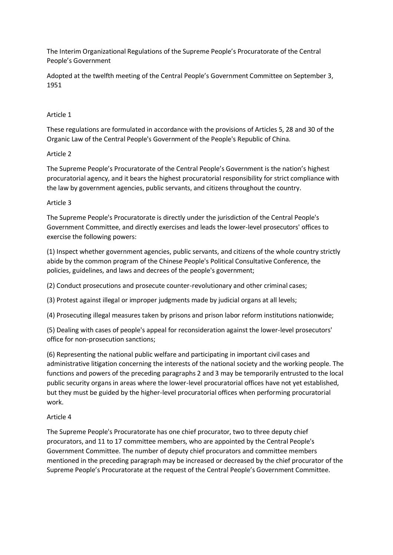The Interim Organizational Regulations of the Supreme People's Procuratorate of the Central People's Government

Adopted at the twelfth meeting of the Central People's Government Committee on September 3, 1951

#### Article 1

These regulations are formulated in accordance with the provisions of Articles 5, 28 and 30 of the Organic Law of the Central People's Government of the People's Republic of China.

#### Article 2

The Supreme People's Procuratorate of the Central People's Government is the nation's highest procuratorial agency, and it bears the highest procuratorial responsibility for strict compliance with the law by government agencies, public servants, and citizens throughout the country.

#### Article 3

The Supreme People's Procuratorate is directly under the jurisdiction of the Central People's Government Committee, and directly exercises and leads the lower-level prosecutors' offices to exercise the following powers:

(1) Inspect whether government agencies, public servants, and citizens of the whole country strictly abide by the common program of the Chinese People's Political Consultative Conference, the policies, guidelines, and laws and decrees of the people's government;

(2) Conduct prosecutions and prosecute counter-revolutionary and other criminal cases;

(3) Protest against illegal or improper judgments made by judicial organs at all levels;

(4) Prosecuting illegal measures taken by prisons and prison labor reform institutions nationwide;

(5) Dealing with cases of people's appeal for reconsideration against the lower-level prosecutors' office for non-prosecution sanctions;

(6) Representing the national public welfare and participating in important civil cases and administrative litigation concerning the interests of the national society and the working people. The functions and powers of the preceding paragraphs 2 and 3 may be temporarily entrusted to the local public security organs in areas where the lower-level procuratorial offices have not yet established, but they must be guided by the higher-level procuratorial offices when performing procuratorial work.

#### Article 4

The Supreme People's Procuratorate has one chief procurator, two to three deputy chief procurators, and 11 to 17 committee members, who are appointed by the Central People's Government Committee. The number of deputy chief procurators and committee members mentioned in the preceding paragraph may be increased or decreased by the chief procurator of the Supreme People's Procuratorate at the request of the Central People's Government Committee.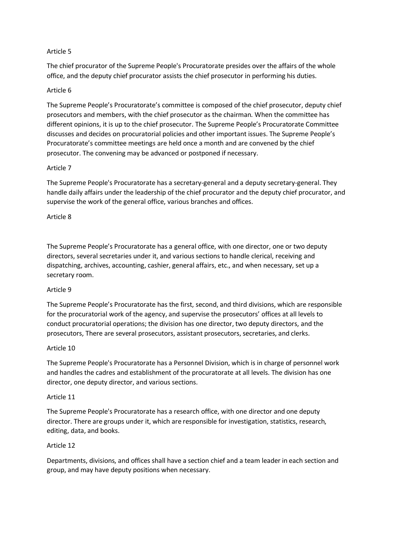## Article 5

The chief procurator of the Supreme People's Procuratorate presides over the affairs of the whole office, and the deputy chief procurator assists the chief prosecutor in performing his duties.

# Article 6

The Supreme People's Procuratorate's committee is composed of the chief prosecutor, deputy chief prosecutors and members, with the chief prosecutor as the chairman. When the committee has different opinions, it is up to the chief prosecutor. The Supreme People's Procuratorate Committee discusses and decides on procuratorial policies and other important issues. The Supreme People's Procuratorate's committee meetings are held once a month and are convened by the chief prosecutor. The convening may be advanced or postponed if necessary.

## Article 7

The Supreme People's Procuratorate has a secretary-general and a deputy secretary-general. They handle daily affairs under the leadership of the chief procurator and the deputy chief procurator, and supervise the work of the general office, various branches and offices.

# Article 8

The Supreme People's Procuratorate has a general office, with one director, one or two deputy directors, several secretaries under it, and various sections to handle clerical, receiving and dispatching, archives, accounting, cashier, general affairs, etc., and when necessary, set up a secretary room.

## Article 9

The Supreme People's Procuratorate has the first, second, and third divisions, which are responsible for the procuratorial work of the agency, and supervise the prosecutors' offices at all levels to conduct procuratorial operations; the division has one director, two deputy directors, and the prosecutors, There are several prosecutors, assistant prosecutors, secretaries, and clerks.

## Article 10

The Supreme People's Procuratorate has a Personnel Division, which is in charge of personnel work and handles the cadres and establishment of the procuratorate at all levels. The division has one director, one deputy director, and various sections.

## Article 11

The Supreme People's Procuratorate has a research office, with one director and one deputy director. There are groups under it, which are responsible for investigation, statistics, research, editing, data, and books.

## Article 12

Departments, divisions, and offices shall have a section chief and a team leader in each section and group, and may have deputy positions when necessary.